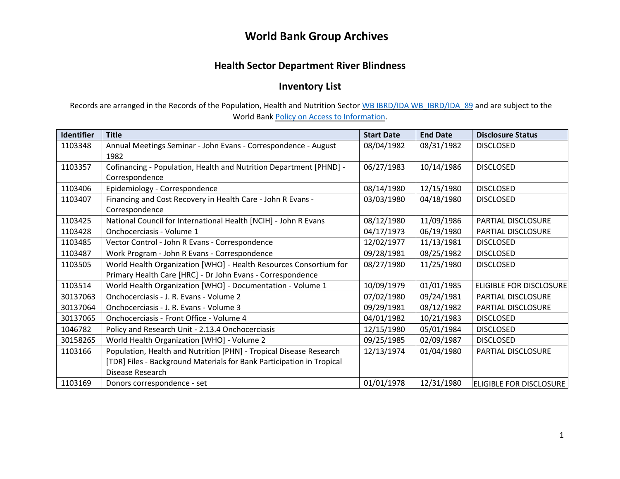### **World Bank Group Archives**

### **Health Sector Department River Blindness**

### **Inventory List**

Records are arranged in the Records of the Population, Health and Nutrition Sector [WB IBRD/IDA WB\\_IBRD/IDA\\_89](https://archivesholdings.worldbank.org/records-of-population-health-and-nutrition-sector) and are subject to the [World Bank Policy on Access to Information.](https://archivesholdings.worldbank.org/records-of-population-health-and-nutrition-sector) 

| <b>Identifier</b> | <b>Title</b>                                                          | <b>Start Date</b> | <b>End Date</b> | <b>Disclosure Status</b>       |
|-------------------|-----------------------------------------------------------------------|-------------------|-----------------|--------------------------------|
| 1103348           | Annual Meetings Seminar - John Evans - Correspondence - August        | 08/04/1982        | 08/31/1982      | <b>DISCLOSED</b>               |
|                   | 1982                                                                  |                   |                 |                                |
| 1103357           | Cofinancing - Population, Health and Nutrition Department [PHND] -    | 06/27/1983        | 10/14/1986      | <b>DISCLOSED</b>               |
|                   | Correspondence                                                        |                   |                 |                                |
| 1103406           | Epidemiology - Correspondence                                         | 08/14/1980        | 12/15/1980      | <b>DISCLOSED</b>               |
| 1103407           | Financing and Cost Recovery in Health Care - John R Evans -           | 03/03/1980        | 04/18/1980      | <b>DISCLOSED</b>               |
|                   | Correspondence                                                        |                   |                 |                                |
| 1103425           | National Council for International Health [NCIH] - John R Evans       | 08/12/1980        | 11/09/1986      | PARTIAL DISCLOSURE             |
| 1103428           | Onchocerciasis - Volume 1                                             | 04/17/1973        | 06/19/1980      | PARTIAL DISCLOSURE             |
| 1103485           | Vector Control - John R Evans - Correspondence                        | 12/02/1977        | 11/13/1981      | <b>DISCLOSED</b>               |
| 1103487           | Work Program - John R Evans - Correspondence                          | 09/28/1981        | 08/25/1982      | <b>DISCLOSED</b>               |
| 1103505           | World Health Organization [WHO] - Health Resources Consortium for     | 08/27/1980        | 11/25/1980      | <b>DISCLOSED</b>               |
|                   | Primary Health Care [HRC] - Dr John Evans - Correspondence            |                   |                 |                                |
| 1103514           | World Health Organization [WHO] - Documentation - Volume 1            | 10/09/1979        | 01/01/1985      | <b>ELIGIBLE FOR DISCLOSURE</b> |
| 30137063          | Onchocerciasis - J. R. Evans - Volume 2                               | 07/02/1980        | 09/24/1981      | PARTIAL DISCLOSURE             |
| 30137064          | Onchocerciasis - J. R. Evans - Volume 3                               | 09/29/1981        | 08/12/1982      | PARTIAL DISCLOSURE             |
| 30137065          | Onchocerciasis - Front Office - Volume 4                              | 04/01/1982        | 10/21/1983      | <b>DISCLOSED</b>               |
| 1046782           | Policy and Research Unit - 2.13.4 Onchocerciasis                      | 12/15/1980        | 05/01/1984      | <b>DISCLOSED</b>               |
| 30158265          | World Health Organization [WHO] - Volume 2                            | 09/25/1985        | 02/09/1987      | <b>DISCLOSED</b>               |
| 1103166           | Population, Health and Nutrition [PHN] - Tropical Disease Research    | 12/13/1974        | 01/04/1980      | <b>PARTIAL DISCLOSURE</b>      |
|                   | [TDR] Files - Background Materials for Bank Participation in Tropical |                   |                 |                                |
|                   | Disease Research                                                      |                   |                 |                                |
| 1103169           | Donors correspondence - set                                           | 01/01/1978        | 12/31/1980      | <b>ELIGIBLE FOR DISCLOSURE</b> |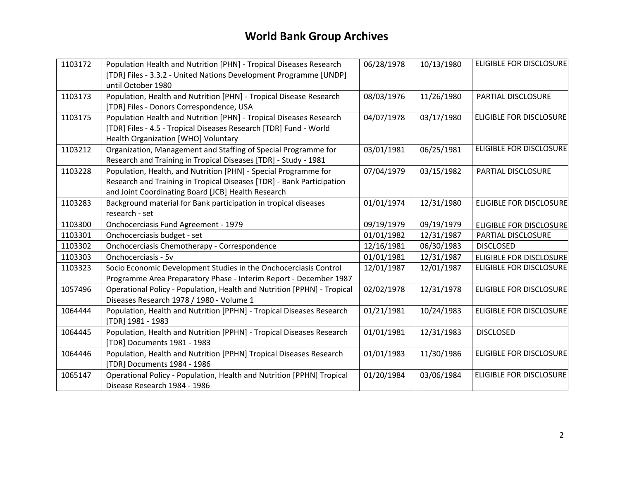# **World Bank Group Archives**

| 1103172 | Population Health and Nutrition [PHN] - Tropical Diseases Research      | 06/28/1978 | 10/13/1980 | <b>ELIGIBLE FOR DISCLOSURE</b> |
|---------|-------------------------------------------------------------------------|------------|------------|--------------------------------|
|         | [TDR] Files - 3.3.2 - United Nations Development Programme [UNDP]       |            |            |                                |
|         | until October 1980                                                      |            |            |                                |
| 1103173 | Population, Health and Nutrition [PHN] - Tropical Disease Research      | 08/03/1976 | 11/26/1980 | PARTIAL DISCLOSURE             |
|         | [TDR] Files - Donors Correspondence, USA                                |            |            |                                |
| 1103175 | Population Health and Nutrition [PHN] - Tropical Diseases Research      | 04/07/1978 | 03/17/1980 | <b>ELIGIBLE FOR DISCLOSURE</b> |
|         | [TDR] Files - 4.5 - Tropical Diseases Research [TDR] Fund - World       |            |            |                                |
|         | Health Organization [WHO] Voluntary                                     |            |            |                                |
| 1103212 | Organization, Management and Staffing of Special Programme for          | 03/01/1981 | 06/25/1981 | <b>ELIGIBLE FOR DISCLOSURE</b> |
|         | Research and Training in Tropical Diseases [TDR] - Study - 1981         |            |            |                                |
| 1103228 | Population, Health, and Nutrition [PHN] - Special Programme for         | 07/04/1979 | 03/15/1982 | PARTIAL DISCLOSURE             |
|         | Research and Training in Tropical Diseases [TDR] - Bank Participation   |            |            |                                |
|         | and Joint Coordinating Board [JCB] Health Research                      |            |            |                                |
| 1103283 | Background material for Bank participation in tropical diseases         | 01/01/1974 | 12/31/1980 | <b>ELIGIBLE FOR DISCLOSURE</b> |
|         | research - set                                                          |            |            |                                |
| 1103300 | Onchocerciasis Fund Agreement - 1979                                    | 09/19/1979 | 09/19/1979 | <b>ELIGIBLE FOR DISCLOSURE</b> |
| 1103301 | Onchocerciasis budget - set                                             | 01/01/1982 | 12/31/1987 | PARTIAL DISCLOSURE             |
| 1103302 | Onchocerciasis Chemotherapy - Correspondence                            | 12/16/1981 | 06/30/1983 | <b>DISCLOSED</b>               |
| 1103303 | Onchocerciasis - 5v                                                     | 01/01/1981 | 12/31/1987 | <b>ELIGIBLE FOR DISCLOSURE</b> |
| 1103323 | Socio Economic Development Studies in the Onchocerciasis Control        | 12/01/1987 | 12/01/1987 | <b>ELIGIBLE FOR DISCLOSURE</b> |
|         | Programme Area Preparatory Phase - Interim Report - December 1987       |            |            |                                |
| 1057496 | Operational Policy - Population, Health and Nutrition [PPHN] - Tropical | 02/02/1978 | 12/31/1978 | ELIGIBLE FOR DISCLOSURE        |
|         | Diseases Research 1978 / 1980 - Volume 1                                |            |            |                                |
| 1064444 | Population, Health and Nutrition [PPHN] - Tropical Diseases Research    | 01/21/1981 | 10/24/1983 | <b>ELIGIBLE FOR DISCLOSURE</b> |
|         | [TDR] 1981 - 1983                                                       |            |            |                                |
| 1064445 | Population, Health and Nutrition [PPHN] - Tropical Diseases Research    | 01/01/1981 | 12/31/1983 | <b>DISCLOSED</b>               |
|         | [TDR] Documents 1981 - 1983                                             |            |            |                                |
| 1064446 | Population, Health and Nutrition [PPHN] Tropical Diseases Research      | 01/01/1983 | 11/30/1986 | <b>ELIGIBLE FOR DISCLOSURE</b> |
|         | [TDR] Documents 1984 - 1986                                             |            |            |                                |
| 1065147 | Operational Policy - Population, Health and Nutrition [PPHN] Tropical   | 01/20/1984 | 03/06/1984 | <b>ELIGIBLE FOR DISCLOSURE</b> |
|         | Disease Research 1984 - 1986                                            |            |            |                                |